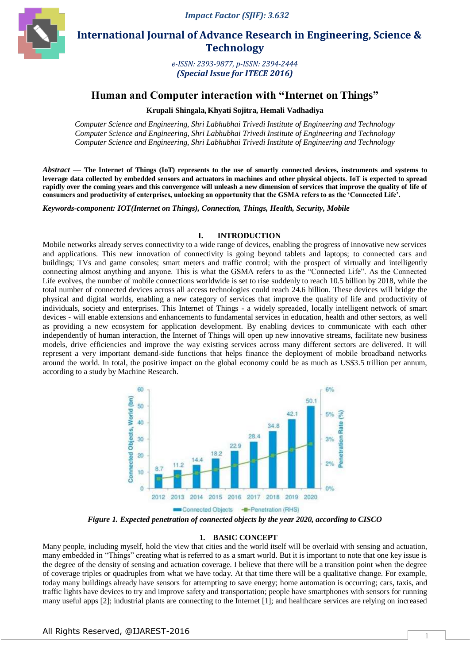

 **International Journal of Advance Research in Engineering, Science & Technology** 

> *e-ISSN: 2393-9877, p-ISSN: 2394-2444 (Special Issue for ITECE 2016)*

# **Human and Computer interaction with "Internet on Things"**

**Krupali Shingala,Khyati Sojitra, Hemali Vadhadiya**

*Computer Science and Engineering, Shri Labhubhai Trivedi Institute of Engineering and Technology Computer Science and Engineering, Shri Labhubhai Trivedi Institute of Engineering and Technology Computer Science and Engineering, Shri Labhubhai Trivedi Institute of Engineering and Technology* 

*Abstract* **— The Internet of Things (IoT) represents to the use of smartly connected devices, instruments and systems to leverage data collected by embedded sensors and actuators in machines and other physical objects. IoT is expected to spread rapidly over the coming years and this convergence will unleash a new dimension of services that improve the quality of life of consumers and productivity of enterprises, unlocking an opportunity that the GSMA refers to as the "Connected Life".**

*Keywords-component: IOT(Internet on Things), Connection, Things, Health, Security, Mobile*

#### **I. INTRODUCTION**

Mobile networks already serves connectivity to a wide range of devices, enabling the progress of innovative new services and applications. This new innovation of connectivity is going beyond tablets and laptops; to connected cars and buildings; TVs and game consoles; smart meters and traffic control; with the prospect of virtually and intelligently connecting almost anything and anyone. This is what the GSMA refers to as the "Connected Life". As the Connected Life evolves, the number of mobile connections worldwide is set to rise suddenly to reach 10.5 billion by 2018, while the total number of connected devices across all access technologies could reach 24.6 billion. These devices will bridge the physical and digital worlds, enabling a new category of services that improve the quality of life and productivity of individuals, society and enterprises. This Internet of Things - a widely spreaded, locally intelligent network of smart devices - will enable extensions and enhancements to fundamental services in education, health and other sectors, as well as providing a new ecosystem for application development. By enabling devices to communicate with each other independently of human interaction, the Internet of Things will open up new innovative streams, facilitate new business models, drive efficiencies and improve the way existing services across many different sectors are delivered. It will represent a very important demand-side functions that helps finance the deployment of mobile broadband networks around the world. In total, the positive impact on the global economy could be as much as US\$3.5 trillion per annum, according to a study by Machine Research.



*Figure 1. Expected penetration of connected objects by the year 2020, according to CISCO*

#### **1. BASIC CONCEPT**

Many people, including myself, hold the view that cities and the world itself will be overlaid with sensing and actuation, many embedded in "Things" creating what is referred to as a smart world. But it is important to note that one key issue is the degree of the density of sensing and actuation coverage. I believe that there will be a transition point when the degree of coverage triples or quadruples from what we have today. At that time there will be a qualitative change. For example, today many buildings already have sensors for attempting to save energy; home automation is occurring; cars, taxis, and traffic lights have devices to try and improve safety and transportation; people have smartphones with sensors for running many useful apps [2]; industrial plants are connecting to the Internet [1]; and healthcare services are relying on increased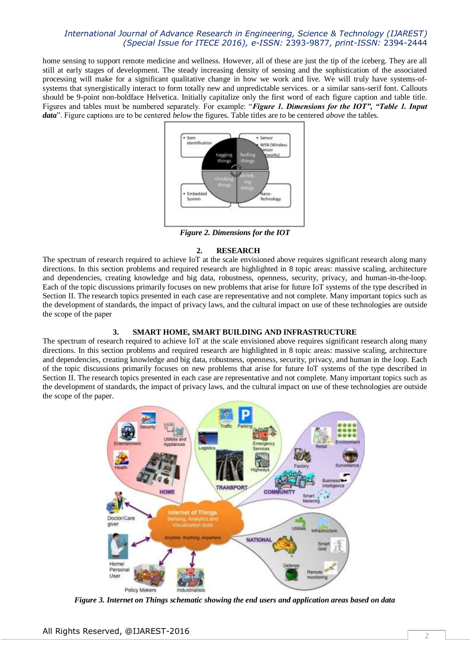# *International Journal of Advance Research in Engineering, Science & Technology (IJAREST) (Special Issue for ITECE 2016), e-ISSN:* 2393-9877*, print-ISSN:* 2394-2444

home sensing to support remote medicine and wellness. However, all of these are just the tip of the iceberg. They are all still at early stages of development. The steady increasing density of sensing and the sophistication of the associated processing will make for a significant qualitative change in how we work and live. We will truly have systems-ofsystems that synergistically interact to form totally new and unpredictable services. or a similar sans-serif font. Callouts should be 9-point non-boldface Helvetica. Initially capitalize only the first word of each figure caption and table title. Figures and tables must be numbered separately. For example: "*Figure 1. Dimensions for the IOT", "Table 1. Input data*". Figure captions are to be centered *below* the figures. Table titles are to be centered *above* the tables.



*Figure 2. Dimensions for the IOT*

### **2. RESEARCH**

The spectrum of research required to achieve IoT at the scale envisioned above requires significant research along many directions. In this section problems and required research are highlighted in 8 topic areas: massive scaling, architecture and dependencies, creating knowledge and big data, robustness, openness, security, privacy, and human-in-the-loop. Each of the topic discussions primarily focuses on new problems that arise for future IoT systems of the type described in Section II. The research topics presented in each case are representative and not complete. Many important topics such as the development of standards, the impact of privacy laws, and the cultural impact on use of these technologies are outside the scope of the paper

# **3. SMART HOME, SMART BUILDING AND INFRASTRUCTURE**

The spectrum of research required to achieve IoT at the scale envisioned above requires significant research along many directions. In this section problems and required research are highlighted in 8 topic areas: massive scaling, architecture and dependencies, creating knowledge and big data, robustness, openness, security, privacy, and human in the loop. Each of the topic discussions primarily focuses on new problems that arise for future IoT systems of the type described in Section II. The research topics presented in each case are representative and not complete. Many important topics such as the development of standards, the impact of privacy laws, and the cultural impact on use of these technologies are outside the scope of the paper.



*Figure 3. Internet on Things schematic showing the end users and application areas based on data*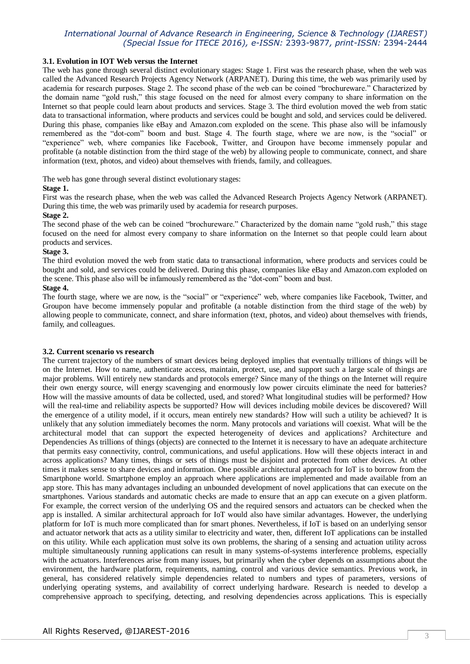# *International Journal of Advance Research in Engineering, Science & Technology (IJAREST) (Special Issue for ITECE 2016), e-ISSN:* 2393-9877*, print-ISSN:* 2394-2444

### **3.1. Evolution in IOT Web versus the Internet**

The web has gone through several distinct evolutionary stages: Stage 1. First was the research phase, when the web was called the Advanced Research Projects Agency Network (ARPANET). During this time, the web was primarily used by academia for research purposes. Stage 2. The second phase of the web can be coined "brochureware." Characterized by the domain name "gold rush," this stage focused on the need for almost every company to share information on the Internet so that people could learn about products and services. Stage 3. The third evolution moved the web from static data to transactional information, where products and services could be bought and sold, and services could be delivered. During this phase, companies like eBay and Amazon.com exploded on the scene. This phase also will be infamously remembered as the "dot-com" boom and bust. Stage 4. The fourth stage, where we are now, is the "social" or "experience" web, where companies like Facebook, Twitter, and Groupon have become immensely popular and profitable (a notable distinction from the third stage of the web) by allowing people to communicate, connect, and share information (text, photos, and video) about themselves with friends, family, and colleagues.

### The web has gone through several distinct evolutionary stages:

### **Stage 1.**

First was the research phase, when the web was called the Advanced Research Projects Agency Network (ARPANET). During this time, the web was primarily used by academia for research purposes.

### **Stage 2.**

The second phase of the web can be coined "brochureware." Characterized by the domain name "gold rush," this stage focused on the need for almost every company to share information on the Internet so that people could learn about products and services.

### **Stage 3.**

The third evolution moved the web from static data to transactional information, where products and services could be bought and sold, and services could be delivered. During this phase, companies like eBay and Amazon.com exploded on the scene. This phase also will be infamously remembered as the "dot-com" boom and bust.

# **Stage 4.**

The fourth stage, where we are now, is the "social" or "experience" web, where companies like Facebook, Twitter, and Groupon have become immensely popular and profitable (a notable distinction from the third stage of the web) by allowing people to communicate, connect, and share information (text, photos, and video) about themselves with friends, family, and colleagues.

#### **3.2. Current scenario vs research**

The current trajectory of the numbers of smart devices being deployed implies that eventually trillions of things will be on the Internet. How to name, authenticate access, maintain, protect, use, and support such a large scale of things are major problems. Will entirely new standards and protocols emerge? Since many of the things on the Internet will require their own energy source, will energy scavenging and enormously low power circuits eliminate the need for batteries? How will the massive amounts of data be collected, used, and stored? What longitudinal studies will be performed? How will the real-time and reliability aspects be supported? How will devices including mobile devices be discovered? Will the emergence of a utility model, if it occurs, mean entirely new standards? How will such a utility be achieved? It is unlikely that any solution immediately becomes the norm. Many protocols and variations will coexist. What will be the architectural model that can support the expected heterogeneity of devices and applications? Architecture and Dependencies As trillions of things (objects) are connected to the Internet it is necessary to have an adequate architecture that permits easy connectivity, control, communications, and useful applications. How will these objects interact in and across applications? Many times, things or sets of things must be disjoint and protected from other devices. At other times it makes sense to share devices and information. One possible architectural approach for IoT is to borrow from the Smartphone world. Smartphone employ an approach where applications are implemented and made available from an app store. This has many advantages including an unbounded development of novel applications that can execute on the smartphones. Various standards and automatic checks are made to ensure that an app can execute on a given platform. For example, the correct version of the underlying OS and the required sensors and actuators can be checked when the app is installed. A similar architectural approach for IoT would also have similar advantages. However, the underlying platform for IoT is much more complicated than for smart phones. Nevertheless, if IoT is based on an underlying sensor and actuator network that acts as a utility similar to electricity and water, then, different IoT applications can be installed on this utility. While each application must solve its own problems, the sharing of a sensing and actuation utility across multiple simultaneously running applications can result in many systems-of-systems interference problems, especially with the actuators. Interferences arise from many issues, but primarily when the cyber depends on assumptions about the environment, the hardware platform, requirements, naming, control and various device semantics. Previous work, in general, has considered relatively simple dependencies related to numbers and types of parameters, versions of underlying operating systems, and availability of correct underlying hardware. Research is needed to develop a comprehensive approach to specifying, detecting, and resolving dependencies across applications. This is especially